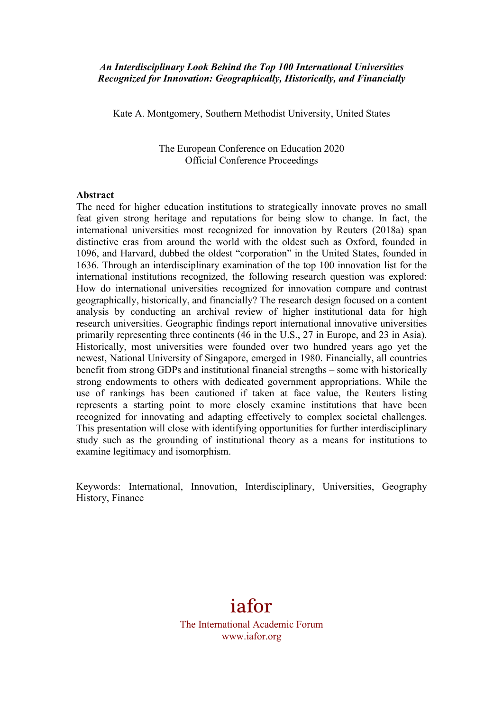## *An Interdisciplinary Look Behind the Top 100 International Universities Recognized for Innovation: Geographically, Historically, and Financially*

Kate A. Montgomery, Southern Methodist University, United States

The European Conference on Education 2020 Official Conference Proceedings

#### **Abstract**

The need for higher education institutions to strategically innovate proves no small feat given strong heritage and reputations for being slow to change. In fact, the international universities most recognized for innovation by Reuters (2018a) span distinctive eras from around the world with the oldest such as Oxford, founded in 1096, and Harvard, dubbed the oldest "corporation" in the United States, founded in 1636. Through an interdisciplinary examination of the top 100 innovation list for the international institutions recognized, the following research question was explored: How do international universities recognized for innovation compare and contrast geographically, historically, and financially? The research design focused on a content analysis by conducting an archival review of higher institutional data for high research universities. Geographic findings report international innovative universities primarily representing three continents (46 in the U.S., 27 in Europe, and 23 in Asia). Historically, most universities were founded over two hundred years ago yet the newest, National University of Singapore, emerged in 1980. Financially, all countries benefit from strong GDPs and institutional financial strengths – some with historically strong endowments to others with dedicated government appropriations. While the use of rankings has been cautioned if taken at face value, the Reuters listing represents a starting point to more closely examine institutions that have been recognized for innovating and adapting effectively to complex societal challenges. This presentation will close with identifying opportunities for further interdisciplinary study such as the grounding of institutional theory as a means for institutions to examine legitimacy and isomorphism.

Keywords: International, Innovation, Interdisciplinary, Universities, Geography History, Finance

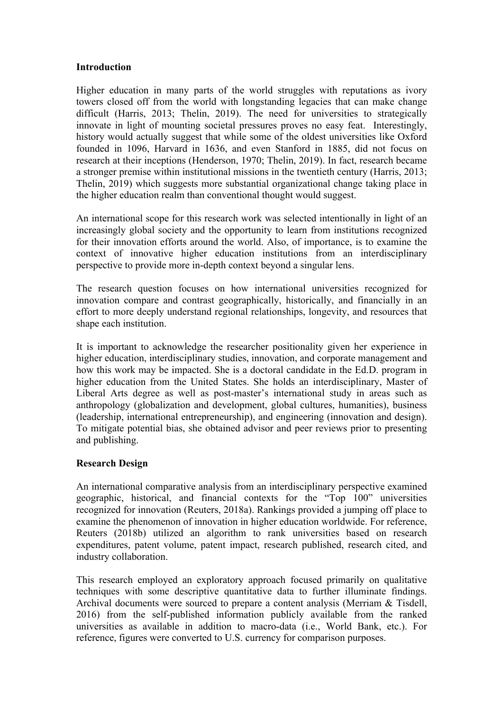### **Introduction**

Higher education in many parts of the world struggles with reputations as ivory towers closed off from the world with longstanding legacies that can make change difficult (Harris, 2013; Thelin, 2019). The need for universities to strategically innovate in light of mounting societal pressures proves no easy feat. Interestingly, history would actually suggest that while some of the oldest universities like Oxford founded in 1096, Harvard in 1636, and even Stanford in 1885, did not focus on research at their inceptions (Henderson, 1970; Thelin, 2019). In fact, research became a stronger premise within institutional missions in the twentieth century (Harris, 2013; Thelin, 2019) which suggests more substantial organizational change taking place in the higher education realm than conventional thought would suggest.

An international scope for this research work was selected intentionally in light of an increasingly global society and the opportunity to learn from institutions recognized for their innovation efforts around the world. Also, of importance, is to examine the context of innovative higher education institutions from an interdisciplinary perspective to provide more in-depth context beyond a singular lens.

The research question focuses on how international universities recognized for innovation compare and contrast geographically, historically, and financially in an effort to more deeply understand regional relationships, longevity, and resources that shape each institution.

It is important to acknowledge the researcher positionality given her experience in higher education, interdisciplinary studies, innovation, and corporate management and how this work may be impacted. She is a doctoral candidate in the Ed.D. program in higher education from the United States. She holds an interdisciplinary, Master of Liberal Arts degree as well as post-master's international study in areas such as anthropology (globalization and development, global cultures, humanities), business (leadership, international entrepreneurship), and engineering (innovation and design). To mitigate potential bias, she obtained advisor and peer reviews prior to presenting and publishing.

# **Research Design**

An international comparative analysis from an interdisciplinary perspective examined geographic, historical, and financial contexts for the "Top 100" universities recognized for innovation (Reuters, 2018a). Rankings provided a jumping off place to examine the phenomenon of innovation in higher education worldwide. For reference, Reuters (2018b) utilized an algorithm to rank universities based on research expenditures, patent volume, patent impact, research published, research cited, and industry collaboration.

This research employed an exploratory approach focused primarily on qualitative techniques with some descriptive quantitative data to further illuminate findings. Archival documents were sourced to prepare a content analysis (Merriam & Tisdell, 2016) from the self-published information publicly available from the ranked universities as available in addition to macro-data (i.e., World Bank, etc.). For reference, figures were converted to U.S. currency for comparison purposes.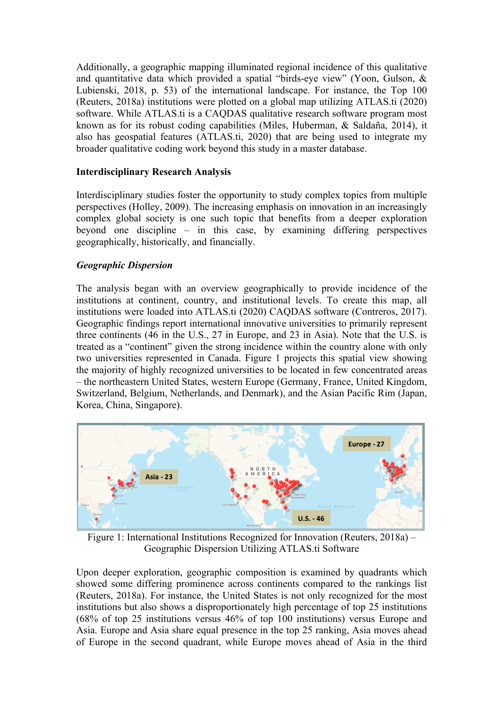Additionally, a geographic mapping illuminated regional incidence of this qualitative and quantitative data which provided a spatial "birds-eye view" (Yoon, Gulson, & Lubienski, 2018, p. 53) of the international landscape. For instance, the Top 100 (Reuters, 2018a) institutions were plotted on a global map utilizing ATLAS.ti (2020) software. While ATLAS.ti is a CAQDAS qualitative research software program most known as for its robust coding capabilities (Miles, Huberman, & Saldaña, 2014), it also has geospatial features (ATLAS.ti, 2020) that are being used to integrate my broader qualitative coding work beyond this study in a master database.

# **Interdisciplinary Research Analysis**

Interdisciplinary studies foster the opportunity to study complex topics from multiple perspectives (Holley, 2009). The increasing emphasis on innovation in an increasingly complex global society is one such topic that benefits from a deeper exploration beyond one discipline – in this case, by examining differing perspectives geographically, historically, and financially.

# *Geographic Dispersion*

The analysis began with an overview geographically to provide incidence of the institutions at continent, country, and institutional levels. To create this map, all institutions were loaded into ATLAS.ti (2020) CAQDAS software (Contreros, 2017). Geographic findings report international innovative universities to primarily represent three continents (46 in the U.S., 27 in Europe, and 23 in Asia). Note that the U.S. is treated as a "continent" given the strong incidence within the country alone with only two universities represented in Canada. Figure 1 projects this spatial view showing the majority of highly recognized universities to be located in few concentrated areas – the northeastern United States, western Europe (Germany, France, United Kingdom, Switzerland, Belgium, Netherlands, and Denmark), and the Asian Pacific Rim (Japan, Korea, China, Singapore).



Figure 1: International Institutions Recognized for Innovation (Reuters, 2018a) – Geographic Dispersion Utilizing ATLAS.ti Software

Upon deeper exploration, geographic composition is examined by quadrants which showed some differing prominence across continents compared to the rankings list (Reuters, 2018a). For instance, the United States is not only recognized for the most institutions but also shows a disproportionately high percentage of top 25 institutions (68% of top 25 institutions versus 46% of top 100 institutions) versus Europe and Asia. Europe and Asia share equal presence in the top 25 ranking, Asia moves ahead of Europe in the second quadrant, while Europe moves ahead of Asia in the third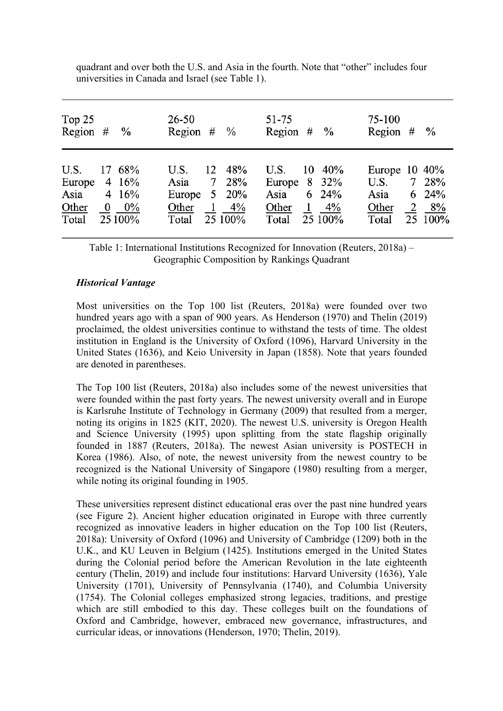| Top $25$<br>Region $#$ %                 |                                                     | $26 - 50$<br>Region $#$ %                          |                                             | 51-75<br>Region $#$ %                                                                                 | 75-100                               | Region $#$ %                                                    |
|------------------------------------------|-----------------------------------------------------|----------------------------------------------------|---------------------------------------------|-------------------------------------------------------------------------------------------------------|--------------------------------------|-----------------------------------------------------------------|
| U.S.<br>Europe<br>Asia<br>Other<br>Total | 17 68%<br>4 16%<br>4 16%<br>$0\quad 0\%$<br>25 100% | U.S.<br>Asia<br>Europe $5\,20\%$<br>Other<br>Total | 12 48%<br>7 28%<br>$1 \quad 4\%$<br>25 100% | U.S.<br>$10\;\;40\%$<br>Europe $8\quad32\%$<br>$6\quad24\%$<br>Asia<br>1<br>Other<br>25 100%<br>Total | U.S.<br>Asia<br>4%<br>Other<br>Total | Europe $10\,40\%$<br>7 28%<br>6 24%<br>$2 \quad 8\%$<br>25 100% |

quadrant and over both the U.S. and Asia in the fourth. Note that "other" includes four universities in Canada and Israel (see Table 1).

Table 1: International Institutions Recognized for Innovation (Reuters, 2018a) – Geographic Composition by Rankings Quadrant

## *Historical Vantage*

Most universities on the Top 100 list (Reuters, 2018a) were founded over two hundred years ago with a span of 900 years. As Henderson (1970) and Thelin (2019) proclaimed, the oldest universities continue to withstand the tests of time. The oldest institution in England is the University of Oxford (1096), Harvard University in the United States (1636), and Keio University in Japan (1858). Note that years founded are denoted in parentheses.

The Top 100 list (Reuters, 2018a) also includes some of the newest universities that were founded within the past forty years. The newest university overall and in Europe is Karlsruhe Institute of Technology in Germany (2009) that resulted from a merger, noting its origins in 1825 (KIT, 2020). The newest U.S. university is Oregon Health and Science University (1995) upon splitting from the state flagship originally founded in 1887 (Reuters, 2018a). The newest Asian university is POSTECH in Korea (1986). Also, of note, the newest university from the newest country to be recognized is the National University of Singapore (1980) resulting from a merger, while noting its original founding in 1905.

These universities represent distinct educational eras over the past nine hundred years (see Figure 2). Ancient higher education originated in Europe with three currently recognized as innovative leaders in higher education on the Top 100 list (Reuters, 2018a): University of Oxford (1096) and University of Cambridge (1209) both in the U.K., and KU Leuven in Belgium (1425). Institutions emerged in the United States during the Colonial period before the American Revolution in the late eighteenth century (Thelin, 2019) and include four institutions: Harvard University (1636), Yale University (1701), University of Pennsylvania (1740), and Columbia University (1754). The Colonial colleges emphasized strong legacies, traditions, and prestige which are still embodied to this day. These colleges built on the foundations of Oxford and Cambridge, however, embraced new governance, infrastructures, and curricular ideas, or innovations (Henderson, 1970; Thelin, 2019).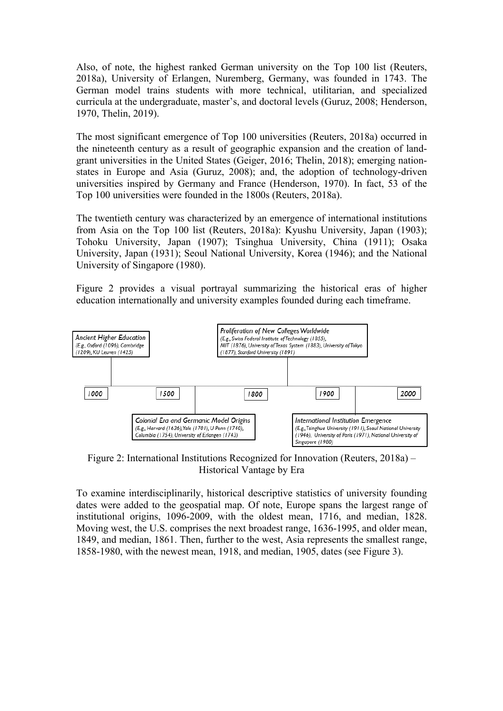Also, of note, the highest ranked German university on the Top 100 list (Reuters, 2018a), University of Erlangen, Nuremberg, Germany, was founded in 1743. The German model trains students with more technical, utilitarian, and specialized curricula at the undergraduate, master's, and doctoral levels (Guruz, 2008; Henderson, 1970, Thelin, 2019).

The most significant emergence of Top 100 universities (Reuters, 2018a) occurred in the nineteenth century as a result of geographic expansion and the creation of landgrant universities in the United States (Geiger, 2016; Thelin, 2018); emerging nationstates in Europe and Asia (Guruz, 2008); and, the adoption of technology-driven universities inspired by Germany and France (Henderson, 1970). In fact, 53 of the Top 100 universities were founded in the 1800s (Reuters, 2018a).

The twentieth century was characterized by an emergence of international institutions from Asia on the Top 100 list (Reuters, 2018a): Kyushu University, Japan (1903); Tohoku University, Japan (1907); Tsinghua University, China (1911); Osaka University, Japan (1931); Seoul National University, Korea (1946); and the National University of Singapore (1980).

Figure 2 provides a visual portrayal summarizing the historical eras of higher education internationally and university examples founded during each timeframe.



Figure 2: International Institutions Recognized for Innovation (Reuters, 2018a) – Historical Vantage by Era

To examine interdisciplinarily, historical descriptive statistics of university founding dates were added to the geospatial map. Of note, Europe spans the largest range of institutional origins, 1096-2009, with the oldest mean, 1716, and median, 1828. Moving west, the U.S. comprises the next broadest range, 1636-1995, and older mean, 1849, and median, 1861. Then, further to the west, Asia represents the smallest range, 1858-1980, with the newest mean, 1918, and median, 1905, dates (see Figure 3).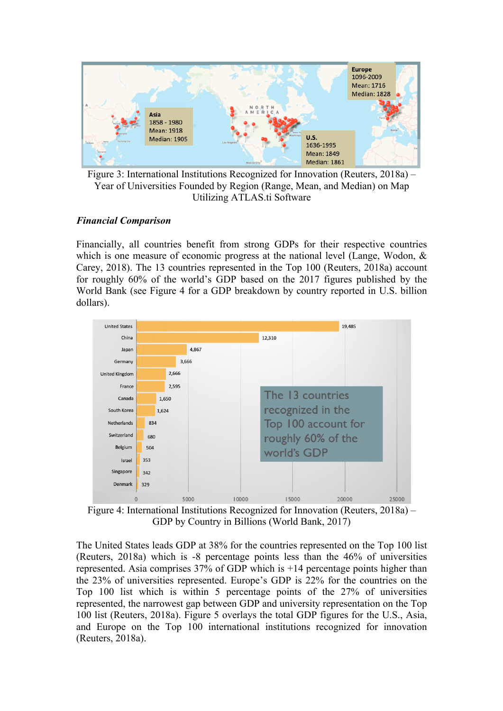

Figure 3: International Institutions Recognized for Innovation (Reuters, 2018a) – Year of Universities Founded by Region (Range, Mean, and Median) on Map Utilizing ATLAS.ti Software

## *Financial Comparison*

Financially, all countries benefit from strong GDPs for their respective countries which is one measure of economic progress at the national level (Lange, Wodon,  $\&$ Carey, 2018). The 13 countries represented in the Top 100 (Reuters, 2018a) account for roughly 60% of the world's GDP based on the 2017 figures published by the World Bank (see Figure 4 for a GDP breakdown by country reported in U.S. billion dollars).



Figure 4: International Institutions Recognized for Innovation (Reuters, 2018a) – GDP by Country in Billions (World Bank, 2017)

The United States leads GDP at 38% for the countries represented on the Top 100 list (Reuters, 2018a) which is -8 percentage points less than the 46% of universities represented. Asia comprises 37% of GDP which is +14 percentage points higher than the 23% of universities represented. Europe's GDP is 22% for the countries on the Top 100 list which is within 5 percentage points of the 27% of universities represented, the narrowest gap between GDP and university representation on the Top 100 list (Reuters, 2018a). Figure 5 overlays the total GDP figures for the U.S., Asia, and Europe on the Top 100 international institutions recognized for innovation (Reuters, 2018a).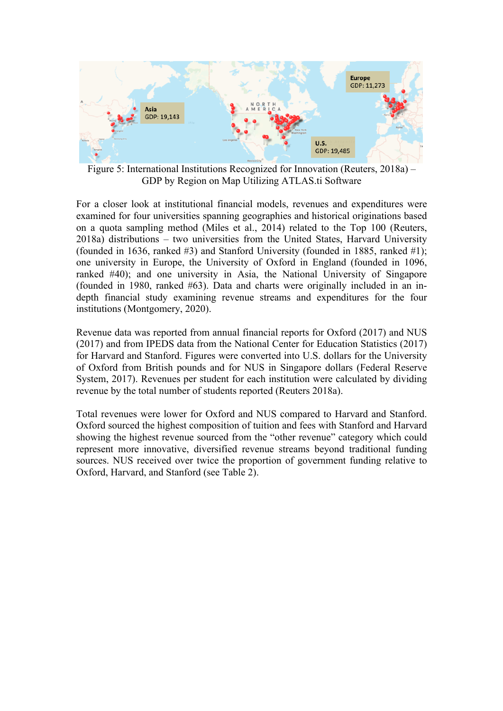

Figure 5: International Institutions Recognized for Innovation (Reuters, 2018a) – GDP by Region on Map Utilizing ATLAS.ti Software

For a closer look at institutional financial models, revenues and expenditures were examined for four universities spanning geographies and historical originations based on a quota sampling method (Miles et al., 2014) related to the Top 100 (Reuters, 2018a) distributions – two universities from the United States, Harvard University (founded in 1636, ranked #3) and Stanford University (founded in 1885, ranked #1); one university in Europe, the University of Oxford in England (founded in 1096, ranked #40); and one university in Asia, the National University of Singapore (founded in 1980, ranked #63). Data and charts were originally included in an indepth financial study examining revenue streams and expenditures for the four institutions (Montgomery, 2020).

Revenue data was reported from annual financial reports for Oxford (2017) and NUS (2017) and from IPEDS data from the National Center for Education Statistics (2017) for Harvard and Stanford. Figures were converted into U.S. dollars for the University of Oxford from British pounds and for NUS in Singapore dollars (Federal Reserve System, 2017). Revenues per student for each institution were calculated by dividing revenue by the total number of students reported (Reuters 2018a).

Total revenues were lower for Oxford and NUS compared to Harvard and Stanford. Oxford sourced the highest composition of tuition and fees with Stanford and Harvard showing the highest revenue sourced from the "other revenue" category which could represent more innovative, diversified revenue streams beyond traditional funding sources. NUS received over twice the proportion of government funding relative to Oxford, Harvard, and Stanford (see Table 2).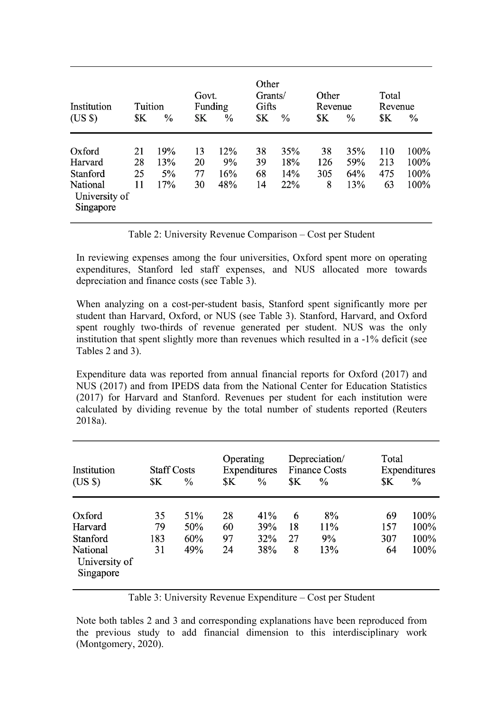| Institution                            | Tuition |               | Govt.<br>Funding |      | Other<br>Grants/<br>Gifts |               | Other<br>Revenue |      | Total<br>Revenue |      |
|----------------------------------------|---------|---------------|------------------|------|---------------------------|---------------|------------------|------|------------------|------|
| $(US \$                                | \$K     | $\frac{0}{0}$ | \$K              | $\%$ | \$K                       | $\frac{0}{0}$ | \$Κ              | $\%$ | \$K              | $\%$ |
| Oxford                                 | 21      | 19%           | 13               | 12%  | 38                        | 35%           | 38               | 35%  | 110              | 100% |
| Harvard                                | 28      | 13%           | 20               | 9%   | 39                        | 18%           | 126              | 59%  | 213              | 100% |
| Stanford                               | 25      | 5%            | 77               | 16%  | 68                        | 14%           | 305              | 64%  | 475              | 100% |
| National<br>University of<br>Singapore | 11      | 17%           | 30               | 48%  | 14                        | 22%           | 8                | 13%  | 63               | 100% |

Table 2: University Revenue Comparison – Cost per Student

In reviewing expenses among the four universities, Oxford spent more on operating expenditures, Stanford led staff expenses, and NUS allocated more towards depreciation and finance costs (see Table 3).

When analyzing on a cost-per-student basis, Stanford spent significantly more per student than Harvard, Oxford, or NUS (see Table 3). Stanford, Harvard, and Oxford spent roughly two-thirds of revenue generated per student. NUS was the only institution that spent slightly more than revenues which resulted in a -1% deficit (see Tables 2 and 3).

Expenditure data was reported from annual financial reports for Oxford (2017) and NUS (2017) and from IPEDS data from the National Center for Education Statistics (2017) for Harvard and Stanford. Revenues per student for each institution were calculated by dividing revenue by the total number of students reported (Reuters 2018a).

| Institution                            | <b>Staff Costs</b> |      | Operating<br>Expenditures |               | Depreciation/<br><b>Finance Costs</b> |     | Total<br>Expenditures |               |
|----------------------------------------|--------------------|------|---------------------------|---------------|---------------------------------------|-----|-----------------------|---------------|
| $(US \$                                | \$K                | $\%$ | \$K                       | $\frac{0}{0}$ | \$K                                   | ℅   | \$K                   | $\frac{0}{0}$ |
|                                        |                    |      |                           |               |                                       |     |                       |               |
| Oxford                                 | 35                 | 51%  | 28                        | 41%           | 6                                     | 8%  | 69                    | 100%          |
| Harvard                                | 79                 | 50%  | 60                        | 39%           | 18                                    | 11% | 157                   | 100%          |
| Stanford                               | 183                | 60%  | 97                        | 32%           | 27                                    | 9%  | 307                   | 100%          |
| National<br>University of<br>Singapore | 31                 | 49%  | 24                        | 38%           | 8                                     | 13% | 64                    | 100%          |

Table 3: University Revenue Expenditure – Cost per Student

Note both tables 2 and 3 and corresponding explanations have been reproduced from the previous study to add financial dimension to this interdisciplinary work (Montgomery, 2020).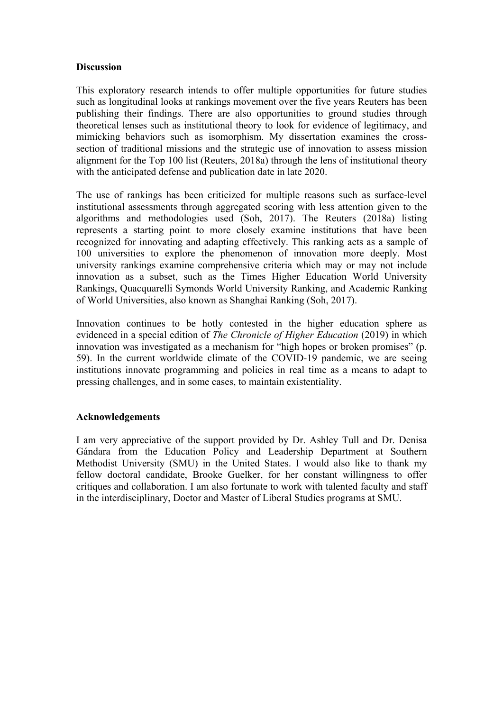### **Discussion**

This exploratory research intends to offer multiple opportunities for future studies such as longitudinal looks at rankings movement over the five years Reuters has been publishing their findings. There are also opportunities to ground studies through theoretical lenses such as institutional theory to look for evidence of legitimacy, and mimicking behaviors such as isomorphism. My dissertation examines the crosssection of traditional missions and the strategic use of innovation to assess mission alignment for the Top 100 list (Reuters, 2018a) through the lens of institutional theory with the anticipated defense and publication date in late 2020.

The use of rankings has been criticized for multiple reasons such as surface-level institutional assessments through aggregated scoring with less attention given to the algorithms and methodologies used (Soh, 2017). The Reuters (2018a) listing represents a starting point to more closely examine institutions that have been recognized for innovating and adapting effectively. This ranking acts as a sample of 100 universities to explore the phenomenon of innovation more deeply. Most university rankings examine comprehensive criteria which may or may not include innovation as a subset, such as the Times Higher Education World University Rankings, Quacquarelli Symonds World University Ranking, and Academic Ranking of World Universities, also known as Shanghai Ranking (Soh, 2017).

Innovation continues to be hotly contested in the higher education sphere as evidenced in a special edition of *The Chronicle of Higher Education* (2019) in which innovation was investigated as a mechanism for "high hopes or broken promises" (p. 59). In the current worldwide climate of the COVID-19 pandemic, we are seeing institutions innovate programming and policies in real time as a means to adapt to pressing challenges, and in some cases, to maintain existentiality.

# **Acknowledgements**

I am very appreciative of the support provided by Dr. Ashley Tull and Dr. Denisa Gándara from the Education Policy and Leadership Department at Southern Methodist University (SMU) in the United States. I would also like to thank my fellow doctoral candidate, Brooke Guelker, for her constant willingness to offer critiques and collaboration. I am also fortunate to work with talented faculty and staff in the interdisciplinary, Doctor and Master of Liberal Studies programs at SMU.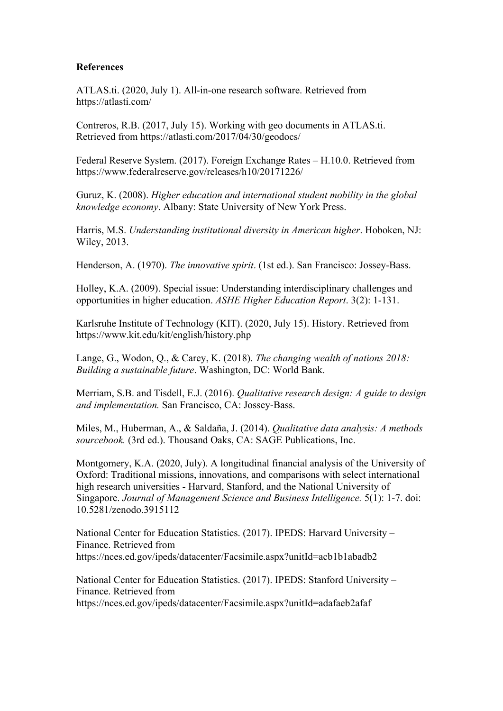### **References**

ATLAS.ti. (2020, July 1). All-in-one research software. Retrieved from https://atlasti.com/

Contreros, R.B. (2017, July 15). Working with geo documents in ATLAS.ti. Retrieved from https://atlasti.com/2017/04/30/geodocs/

Federal Reserve System. (2017). Foreign Exchange Rates – H.10.0. Retrieved from https://www.federalreserve.gov/releases/h10/20171226/

Guruz, K. (2008). *Higher education and international student mobility in the global knowledge economy*. Albany: State University of New York Press.

Harris, M.S. *Understanding institutional diversity in American higher*. Hoboken, NJ: Wiley, 2013.

Henderson, A. (1970). *The innovative spirit*. (1st ed.). San Francisco: Jossey-Bass.

Holley, K.A. (2009). Special issue: Understanding interdisciplinary challenges and opportunities in higher education. *ASHE Higher Education Report*. 3(2): 1-131.

Karlsruhe Institute of Technology (KIT). (2020, July 15). History. Retrieved from https://www.kit.edu/kit/english/history.php

Lange, G., Wodon, Q., & Carey, K. (2018). *The changing wealth of nations 2018: Building a sustainable future*. Washington, DC: World Bank.

Merriam, S.B. and Tisdell, E.J. (2016). *Qualitative research design: A guide to design and implementation.* San Francisco, CA: Jossey-Bass.

Miles, M., Huberman, A., & Saldaña, J. (2014). *Qualitative data analysis: A methods sourcebook.* (3rd ed.). Thousand Oaks, CA: SAGE Publications, Inc.

Montgomery, K.A. (2020, July). A longitudinal financial analysis of the University of Oxford: Traditional missions, innovations, and comparisons with select international high research universities - Harvard, Stanford, and the National University of Singapore. *Journal of Management Science and Business Intelligence.* 5(1): 1-7. doi: 10.5281/zenodo.3915112

National Center for Education Statistics. (2017). IPEDS: Harvard University – Finance. Retrieved from https://nces.ed.gov/ipeds/datacenter/Facsimile.aspx?unitId=acb1b1abadb2

National Center for Education Statistics. (2017). IPEDS: Stanford University – Finance. Retrieved from https://nces.ed.gov/ipeds/datacenter/Facsimile.aspx?unitId=adafaeb2afaf